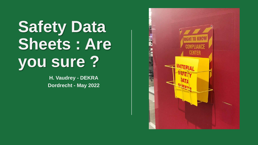# **Safety Data Sheets : Are you sure ?**

**H. Vaudrey - DEKRA Dordrecht - May 2022**

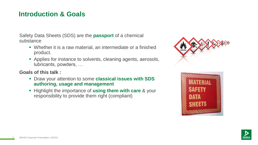# **Introduction & Goals**

Safety Data Sheets (SDS) are the **passport** of a chemical substance

- Whether it is a raw material, an intermediate or a finished product.
- **EXAPPLEES FORE INSTELLE THE CONCEPT ADDITE:** Applies for instance to solvents, cleaning agents, aerosols, lubricants, powders, …

**Goals of this talk :** 

- Draw your attention to some **classical issues with SDS authoring, usage and management**
- Highlight the importance of **using them with care** & your responsibility to provide them right (compliant)





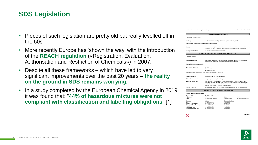# **SDS Legislation**

- Pieces of such legislation are pretty old but really levelled off in the 50s
- More recently Europe has 'shown the way' with the introduction of the **REACH regulation** («Registration, Evaluation, Authorisation and Restriction of Chemicals») in 2007.
- Despite all these frameworks which have led to very significant improvements over the past 20 years – **the reality on the ground in SDS remains worrying.**
- In a study completed by the European Chemical Agency in 2019 it was found that: "**44% of hazardous mixtures were not compliant with classification and labelling obligations**" [1]

| 1308971 - Epsom Salt with baking Soda and Peppermint                                                                         |                                                                                                                                                                                                                                                                                                                                  |                                                                                                                                                                                         | Revision Date 22-Jan-2016             |  |
|------------------------------------------------------------------------------------------------------------------------------|----------------------------------------------------------------------------------------------------------------------------------------------------------------------------------------------------------------------------------------------------------------------------------------------------------------------------------|-----------------------------------------------------------------------------------------------------------------------------------------------------------------------------------------|---------------------------------------|--|
|                                                                                                                              | 7. HANDLING AND STORAGE                                                                                                                                                                                                                                                                                                          |                                                                                                                                                                                         |                                       |  |
| Precautions for safe handling                                                                                                |                                                                                                                                                                                                                                                                                                                                  |                                                                                                                                                                                         |                                       |  |
| Handling                                                                                                                     | Handle in accordance with good industrial hygiene and safety practice.                                                                                                                                                                                                                                                           |                                                                                                                                                                                         |                                       |  |
| Conditions for safe storage, including any incompatibilities                                                                 |                                                                                                                                                                                                                                                                                                                                  |                                                                                                                                                                                         |                                       |  |
| Storage                                                                                                                      |                                                                                                                                                                                                                                                                                                                                  | Keep containers tightly closed in a dry, cool and well-ventilated place. Keep out of the reach<br>of children. Protect from moisture. Store locked up. Store away from other materials. |                                       |  |
| <b>Incompatible Products</b>                                                                                                 | None known based on information supplied.                                                                                                                                                                                                                                                                                        |                                                                                                                                                                                         |                                       |  |
|                                                                                                                              | 8. EXPOSURE CONTROLS/PERSONAL PROTECTION                                                                                                                                                                                                                                                                                         |                                                                                                                                                                                         |                                       |  |
| <b>Control parameters</b>                                                                                                    |                                                                                                                                                                                                                                                                                                                                  |                                                                                                                                                                                         |                                       |  |
| <b>Exposure Guidelines</b>                                                                                                   | This product, as supplied, does not contain any hazardous materials with occupational<br>exposure limits established by the region specific regulatory bodies                                                                                                                                                                    |                                                                                                                                                                                         |                                       |  |
| Appropriate engineering controls                                                                                             |                                                                                                                                                                                                                                                                                                                                  |                                                                                                                                                                                         |                                       |  |
| <b>Engineering Measures</b>                                                                                                  | Showers<br>Evewash stations<br>Ventilation systems                                                                                                                                                                                                                                                                               |                                                                                                                                                                                         |                                       |  |
|                                                                                                                              | Individual protection measures, such as personal protective equipment                                                                                                                                                                                                                                                            |                                                                                                                                                                                         |                                       |  |
| Eye/face protection                                                                                                          | No special protective equipment required.                                                                                                                                                                                                                                                                                        |                                                                                                                                                                                         |                                       |  |
| Skin and body protection                                                                                                     | No special protective equipment required.                                                                                                                                                                                                                                                                                        |                                                                                                                                                                                         |                                       |  |
| <b>Respiratory protection</b>                                                                                                | If exposure limits are exceeded or irritation is experienced, NIOSH/MSHA approved<br>respiratory protection should be worn. Positive-pressure supplied air respirators may be<br>required for high airborne contaminant concentrations. Respiratory protection must be<br>provided in accordance with current local regulations. |                                                                                                                                                                                         |                                       |  |
| <b>Hygiene Measures</b>                                                                                                      | Avoid contact with skin, eyes or clothing. Wear suitable gloves and eye/face protection.                                                                                                                                                                                                                                         |                                                                                                                                                                                         |                                       |  |
|                                                                                                                              | 9. PHYSICAL AND CHEMICAL PROPERTIES                                                                                                                                                                                                                                                                                              |                                                                                                                                                                                         |                                       |  |
| <b>Physical and Chemical Properties</b>                                                                                      |                                                                                                                                                                                                                                                                                                                                  |                                                                                                                                                                                         |                                       |  |
| <b>Physical state</b><br>Appearance<br>Color                                                                                 | Crystalline, Solid<br>White<br>No information available                                                                                                                                                                                                                                                                          | Odor<br><b>Odor Threshold</b>                                                                                                                                                           | Mint-like<br>No information available |  |
| Property<br>pH<br>Melting / freezing point<br>Boiling point / boiling range<br><b>Flash Point</b><br><b>Evaporation Rate</b> | Values<br>No data available<br>No data available<br>No data available<br>No data available<br>No data available<br>No data available                                                                                                                                                                                             | <b>Remarks Method</b><br>None known<br>None known<br>None known<br>None known<br>None known                                                                                             |                                       |  |



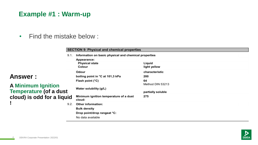# **Example #1 : Warm-up**

### • Find the mistake below :

#### **SECTION 9: Physical and chemical properties**

| 9.1. | Information on basic physical and chemical properties |                   |  |
|------|-------------------------------------------------------|-------------------|--|
|      | Appearance:                                           |                   |  |
|      | <b>Physical state</b>                                 | Liquid            |  |
|      | Colour                                                | light yellow      |  |
|      | Odour                                                 | characteristic    |  |
|      | boiling point in °C at 101,3 kPa                      | 200               |  |
|      | Flash point (°C)                                      | 64                |  |
|      |                                                       | Method DIN 53213  |  |
|      | Water solubility (g/L)                                |                   |  |
|      |                                                       | partially soluble |  |
| lid  | Minimum ignition temperature of a dust<br>cloud:      | 275               |  |
| 9.2. | Other information:                                    |                   |  |
|      | <b>Bulk density</b>                                   |                   |  |
|      | Drop point/drop rangeat °C:                           |                   |  |
|      | No data available                                     |                   |  |
|      |                                                       |                   |  |

#### **Answer :**

#### **A Minimum Ignition Temperature (of a dust**  cloud) is odd for a liquid **!**

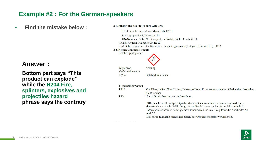### **Example #2 : For the German-speakers**

• **Find the mistake below :**

### **Answer :**

**Bottom part says "This product can explode" while the H204 Fire, splinters, explosives and projectiles hazard phrase says the contrary** 

#### 2.1. Einstufung des Stoffs oder Gemischs

Gefahr durch Feuer (Unterklasse 1.4), H204

Risikogruppe 1.4S, Kategorie: P1 UN-Nummer: 0432. Nicht verpacktes Produkt, siehe Abschnitt 14. Reizt die Augen (Kategorie 2), H319 Schädliche Langzeiteffekte für wasserlebende Organismen (Kategorie Chronisch 3), H412

#### 2.2. Kennzeichnungselemente

Gefahrenpiktogramm



| Sicherheitshinweisen |                                                                                                                                                                                                                                                                                                                                                                     |
|----------------------|---------------------------------------------------------------------------------------------------------------------------------------------------------------------------------------------------------------------------------------------------------------------------------------------------------------------------------------------------------------------|
| P210                 | Von Hitze, heißen Oberflächen, Funken, offenen Flammen und anderen Zündquellen fernhalten.                                                                                                                                                                                                                                                                          |
|                      | Nicht rauchen                                                                                                                                                                                                                                                                                                                                                       |
| P234                 | Nur in Originalverpackung aufbewahren                                                                                                                                                                                                                                                                                                                               |
|                      | Bitte beachten: Die obigen Signalwörter und Gefahrenhinweise wurden auf reduziert<br>die aktuelle maximale Gefährdung, die das Produkt verursachen kann, falls zusätzlich<br>Informationen werden benötigt, bitte kontaktieren Sie uns Dies gilt für die Abschnitte 2.1<br>und $2.2$ .<br>Dieses Produkt kann nicht explodieren oder Projektionsgefahr verursachen. |

H<sub>204</sub>

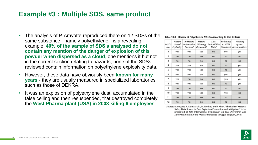### **Example #3 : Multiple SDS, same product**

- The analysis of P. Amyotte reproduced there on 12 SDSs of the same substance - namely polyethylene - is a revealing example: **40% of the sample of SDS's analysed do not contain any mention of the danger of explosion of this powder when dispersed as a cloud**, one mentions it but not in the correct section relating to hazards; none of the SDSs reviewed contain information on polyethylene explosivity data.
- However, these data have obviously been **known for many years** - they are usually measured in specialized laboratories such as those of DEKRA.
- It was an explosion of polyethylene dust, accumulated in the false ceiling and then resuspended, that destroyed completely the **West Pharma plant (USA) in 2003 killing 6 employees**.

#### Table 13.8 Review of Polyethylene MSDSs According to CSB Criteria

| <b>MSDS</b><br>No. | Hazard<br><b>Stated</b><br>Explicitly? | In Hazard<br><b>Information</b><br>Section? | Hazard<br>Warning<br>Repeated? | Dust<br>Explosibility<br>Data? | Reference<br>to NFPA | Warning<br>against<br>Standard? Accumulation? |
|--------------------|----------------------------------------|---------------------------------------------|--------------------------------|--------------------------------|----------------------|-----------------------------------------------|
| 1                  | yes                                    | yes                                         | yes                            | no                             | yes                  | yes                                           |
| $\overline{2}$     | no                                     | no                                          | no                             | no                             | no                   | no                                            |
| 3                  | no                                     | no                                          | no                             | no                             | no                   | no                                            |
| 4                  | yes                                    | yes                                         | yes                            | no                             | no                   | yes                                           |
| 5                  | yes                                    | yes                                         | yes                            | no                             | no                   | yes                                           |
| 6                  | yes                                    | yes                                         | yes                            | no                             | yes                  | yes                                           |
| 7                  | yes                                    | no                                          | no                             | no                             | yes                  | yes                                           |
| 8                  | yes                                    | yes                                         | yes                            | no                             | no                   | yes                                           |
| 9                  | no                                     | no                                          | no                             | no                             | no                   | no                                            |
| 10                 | yes                                    | yes                                         | yes                            | no                             | yes                  | no                                            |
| 11                 | no                                     | no                                          | no                             | no                             | no                   | no                                            |
| 12                 | no                                     | no                                          | no                             | no                             | no                   | no                                            |

Source: P. Amyotte, R. Domaratzki, M. Lindsay, and F. Khan, "The Role of Material Safety Data Sheets in Dust Explosion Prevention and Mitigation," to be presented at 13th International Symposium on Loss Prevention and Safety Promotion in the Process Industries (Brugge, Belgium, 2010).

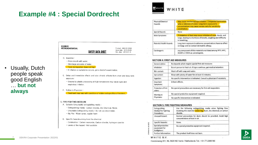# **Example #4 : Special Dordrecht**



| Physical/Chemical<br>Hazards:   | May cause mechanical eye irritation. Companied lacrimation,<br>ache or dimness of vision. Long-term exposure to<br>concentrations may cause xerosis cutis for sensitivity.<br>constitution. |
|---------------------------------|---------------------------------------------------------------------------------------------------------------------------------------------------------------------------------------------|
| Special Hazards                 | None                                                                                                                                                                                        |
| Main Symptoms:                  | If inhalation of duct may cause irritation of nose, throat, and<br>lungs, leading to shortness of breath, coughing and difficulty<br>in breathing.                                          |
| <b>Potential Health Hazards</b> | Long term exposure to airborne concentrations have no effect<br>on lungs and no contact dermatitis allergy.                                                                                 |
| Carcinogenic                    | any component of this material is not listed among NTP, IARC,<br>ACGIH or OSHA as cancerogenic.                                                                                             |

#### D. Ingestion:

**KUMHO** PETROCHEMICAL

- Rinse mouth with water.
- Give large amounts of water.

- Toxic by ingestion does not high.

- If irritation or symptoms occurs, get a doctor's examination.
- E. Delay and immediate effects and also chronic effects from short and long term exposure:

Product: ASA XC-500A Issue date: 2010.03.03

Rev. date: 2018.07.19

- Steams by plastic processing at high temperature may cause eyes and respiratory irritation.

SAFETY DATA SHEET

F. Notice to Physician:

- Treatment may vary with condition of victim and specifics of incident.

#### 5. FIRE FIGHTING MEASURE

- A. Suitable (Unsuitable) extinguishing media :
	- Extinguishing media: Carbon Dioxide, Dry Chemical, Water
	- Unsuitable Extinguishing media : Do not use direct water.
	- Big Fire: Water spray, regular foam
- B. Specific hazards arising from the chemical
	- Combustion : Carbon monoxide, Carbon dioxide, hydrogen cyanide
	- Levels of fire hazard : Not available

#### **SECTION 4: FIRST AID MEASURES**

| General advice:                | No hazards which require special first aid measures                      |  |  |
|--------------------------------|--------------------------------------------------------------------------|--|--|
| Inhalation:                    | Escort person to fresh air. If signs continue, get medical attention.    |  |  |
| Skin contact:                  | Wash off with soap and water.                                            |  |  |
| Eye contact:                   | Rinse with plenty of water for at least 15 minutes.                      |  |  |
| Ingestion:                     | No specific intervention is indicated. Consult a physician if necessary. |  |  |
| important<br>Symptoms:         | Irritant effects.<br>$-2\pi$                                             |  |  |
| Protection of first<br>alders: | No special precautions are necessary for first aid responders.           |  |  |
| Warning to<br>Physicians:      | No special protective equipment required.                                |  |  |
|                                | No specific intervention is indicated.                                   |  |  |

#### **SECTION 5: FIRE FIGHTING MEASURES**

| Extinguishing<br>Media/Fire Fighting<br>Procedures:  | Use the following extinguishing media when fighting fires<br>involving this material: water fog, foam, dry chemical, or carbon<br>dioxide. |  |
|------------------------------------------------------|--------------------------------------------------------------------------------------------------------------------------------------------|--|
| Unusual Hazard:                                      | Normal precautions for dusts should be provided. Avoid high<br>concentrations of dust in air.                                              |  |
| Specific hazards:                                    | None.                                                                                                                                      |  |
| Special protective<br>equipment for<br>firefighters: | No special protective equipment required.                                                                                                  |  |
| Further information:                                 | The product itself does not burn.                                                                                                          |  |
|                                                      |                                                                                                                                            |  |



• Usually, Dutch people speak good English … **but not always**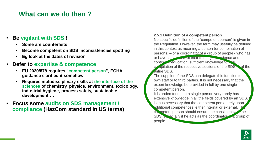## **What can we do then ?**

#### • **Be vigilant with SDS !**

- **Some are counterfeits**
- **Become competent on SDS inconsistencies spotting**
- **Eg look at the dates of revision**
- **Defer to expertise & competence**
	- **EU 2020/878 requires "competent person", ECHA guidance clarified it somehow**
	- **Requires multidisciplinary skills at the interface of the sciences of chemistry, physics, environment, toxicology, industrial hygiene, process safety, sustainable development …**
- **Focus some audits on SDS management / compliance (HazCom standard in US terms)**

#### **2.5.1 Definition of a competent person**

No specific definition of the "competent person" is given in the Regulation. However, the term may usefully be defined in this context as meaning a person (or combination of persons) – or a coordinator of a group of people - who has or have, as a result of their training, experience and continued education, sufficient knowledge for the

 $\frac{1}{2}$  compilation of the respective sections of the SDS of the entire SDS.

The supplier of the SDS can delegate this function to his own staff or to third parties. It is not necessary that the expert knowledge be provided in full by one single competent person.

It is understood that a single person very rarely has extensive knowledge in all the fields covered by an SDS. is thus necessary that the competent person rely upon additional competences, either internal or external. The competent person should ensure the consistency the SDS,  $\epsilon$  a group of the acts as the coordinator of a group of people.

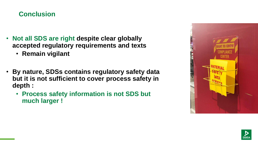# **Conclusion**

- **Not all SDS are right despite clear globally accepted regulatory requirements and texts**
	- **Remain vigilant**
- **By nature, SDSs contains regulatory safety data but it is not sufficient to cover process safety in depth :** 
	- **Process safety information is not SDS but much larger !**